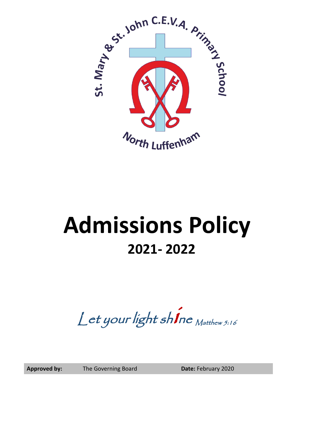

# **Admissions Policy 2021- 2022**

Let your light shine Matthew 5:16

Approved by: The Governing Board **Date:** February 2020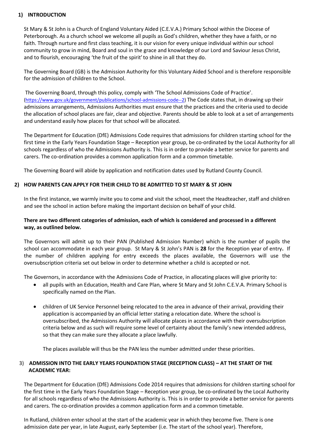#### **1) INTRODUCTION**

St Mary & St John is a Church of England Voluntary Aided (C.E.V.A.) Primary School within the Diocese of Peterborough. As a church school we welcome all pupils as God's children, whether they have a faith, or no faith. Through nurture and first class teaching, it is our vision for every unique individual within our school community to grow in mind, Board and soul in the grace and knowledge of our Lord and Saviour Jesus Christ, and to flourish, encouraging 'the fruit of the spirit' to shine in all that they do.

The Governing Board (GB) is the Admission Authority for this Voluntary Aided School and is therefore responsible for the admission of children to the School.

The Governing Board, through this policy, comply with 'The School Admissions Code of Practice'. [\(https://www.gov.uk/government/publications/school-admissions-code--2\)](https://www.gov.uk/government/publications/school-admissions-code--2) The Code states that, in drawing up their admissions arrangements, Admissions Authorities must ensure that the practices and the criteria used to decide the allocation of school places are fair, clear and objective. Parents should be able to look at a set of arrangements and understand easily how places for that school will be allocated.

The Department for Education (DfE) Admissions Code requires that admissions for children starting school for the first time in the Early Years Foundation Stage – Reception year group, be co-ordinated by the Local Authority for all schools regardless of who the Admissions Authority is. This is in order to provide a better service for parents and carers. The co-ordination provides a common application form and a common timetable.

The Governing Board will abide by application and notification dates used by Rutland County Council.

#### **2) HOW PARENTS CAN APPLY FOR THEIR CHILD TO BE ADMITTED TO ST MARY & ST JOHN**

In the first instance, we warmly invite you to come and visit the school, meet the Headteacher, staff and children and see the school in action before making the important decision on behalf of your child.

#### **There are two different categories of admission, each of which is considered and processed in a different way, as outlined below.**

The Governors will admit up to their PAN (Published Admission Number) which is the number of pupils the school can accommodate in each year group. St Mary & St John's PAN is **28** for the Reception year of entry**.** If the number of children applying for entry exceeds the places available, the Governors will use the oversubscription criteria set out below in order to determine whether a child is accepted or not.

The Governors, in accordance with the Admissions Code of Practice, in allocating places will give priority to:

- all pupils with an Education, Health and Care Plan, where St Mary and St John C.E.V.A. Primary School is specifically named on the Plan.
- children of UK Service Personnel being relocated to the area in advance of their arrival, providing their application is accompanied by an official letter stating a relocation date. Where the school is oversubscribed, the Admissions Authority will allocate places in accordance with their oversubscription criteria below and as such will require some level of certainty about the family's new intended address, so that they can make sure they allocate a place lawfully.

The places available will thus be the PAN less the number admitted under these priorities.

### 3) **ADMISSION INTO THE EARLY YEARS FOUNDATION STAGE (RECEPTION CLASS) – AT THE START OF THE ACADEMIC YEAR:**

The Department for Education (DfE) Admissions Code 2014 requires that admissions for children starting school for the first time in the Early Years Foundation Stage – Reception year group, be co-ordinated by the Local Authority for all schools regardless of who the Admissions Authority is. This is in order to provide a better service for parents and carers. The co-ordination provides a common application form and a common timetable.

In Rutland, children enter school at the start of the academic year in which they become five. There is one admission date per year, in late August, early September (i.e. The start of the school year). Therefore,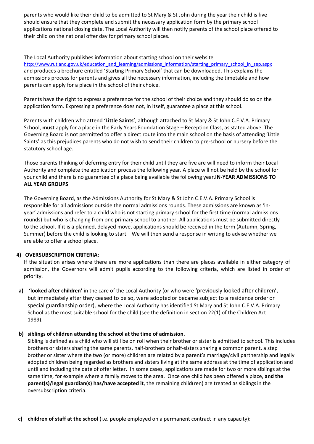parents who would like their child to be admitted to St Mary & St John during the year their child is five should ensure that they complete and submit the necessary application form by the primary school applications national closing date. The Local Authority will then notify parents of the school place offered to their child on the national offer day for primary school places.

The Local Authority publishes information about starting school on their website [http://www.rutland.gov.uk/education\\_and\\_learning/admissions\\_information/starting\\_primary\\_school\\_in\\_sep.aspx](http://www.rutland.gov.uk/education_and_learning/admissions_information/starting_primary_school_in_sep.aspx) and produces a brochure entitled 'Starting Primary School' that can be downloaded. This explains the admissions process for parents and gives all the necessary information, including the timetable and how parents can apply for a place in the school of their choice.

Parents have the right to express a preference for the school of their choice and they should do so on the application form. Expressing a preference does not, in itself, guarantee a place at this school.

Parents with children who attend **'Little Saints'**, although attached to St Mary & St John C.E.V.A. Primary School, **must** apply for a place in the Early Years Foundation Stage – Reception Class, as stated above. The Governing Board is not permitted to offer a direct route into the main school on the basis of attending 'Little Saints' as this prejudices parents who do not wish to send their children to pre-school or nursery before the statutory school age.

Those parents thinking of deferring entry for their child until they are five are will need to inform their Local Authority and complete the application process the following year. A place will not be held by the school for your child and there is no guarantee of a place being available the following year.**IN-YEAR ADMISSIONS TO ALL YEAR GROUPS**

The Governing Board, as the Admissions Authority for St Mary & St John C.E.V.A. Primary School is responsible for all admissions outside the normal admissions rounds. These admissions are known as 'inyear' admissions and refer to a child who is not starting primary school for the first time (normal admissions rounds) but who is changing from one primary school to another. All applications must be submitted directly to the school. If it is a planned, delayed move, applications should be received in the term (Autumn, Spring, Summer) before the child is looking to start. We will then send a response in writing to advise whether we are able to offer a school place.

### **4) OVERSUBSCRIPTION CRITERIA:**

If the situation arises where there are more applications than there are places available in either category of admission, the Governors will admit pupils according to the following criteria, which are listed in order of priority.

**a) 'looked after children'** in the care of the Local Authority (or who were 'previously looked after children', but immediately after they ceased to be so, were adopted or became subject to a residence order or special guardianship order), where the Local Authority has identified St Mary and St John C.E.V.A. Primary School as the most suitable school for the child (see the definition in section 22(1) of the Children Act 1989).

### **b) siblings of children attending the school at the time of admission.**

Sibling is defined as a child who will still be on roll when their brother or sister is admitted to school. This includes brothers or sisters sharing the same parents, half-brothers or half-sisters sharing a common parent, a step brother or sister where the two (or more) children are related by a parent's marriage/civil partnership and legally adopted children being regarded as brothers and sisters living at the same address at the time of application and until and including the date of offer letter. In some cases, applications are made for two or more siblings at the same time, for example where a family moves to the area. Once one child has been offered a place, **and the parent(s)/legal guardian(s) has/have accepted it**, the remaining child(ren) are treated as siblingsin the oversubscription criteria.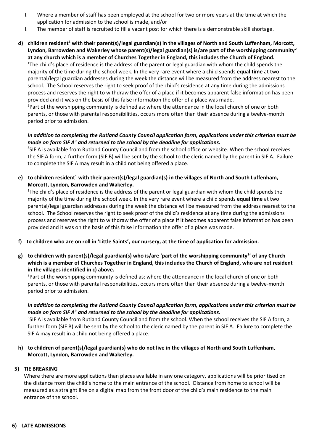- I. Where a member of staff has been employed at the school for two or more years at the time at which the application for admission to the school is made, and/or
- II. The member of staff is recruited to fill a vacant post for which there is a demonstrable skill shortage.
- **d) children resident<sup>1</sup> with their parent(s)/legal guardian(s) in the villages of North and South Luffenham, Morcott, Lyndon, Barrowden and Wakerley whose parent(s)/legal guardian(s) is/are part of the worshipping community<sup>2</sup> at any church which is a member of Churches Together in England, this includes the Church of England.**  <sup>1</sup>The child's place of residence is the address of the parent or legal guardian with whom the child spends the majority of the time during the school week. In the very rare event where a child spends **equal time** at two parental/legal guardian addresses during the week the distance will be measured from the address nearest to the school. The School reserves the right to seek proof of the child's residence at any time during the admissions process and reserves the right to withdraw the offer of a place if it becomes apparent false information has been provided and it was on the basis of this false information the offer of a place was made. <sup>2</sup>Part of the worshipping community is defined as: where the attendance in the local church of one or both

parents, or those with parental responsibilities, occurs more often than their absence during a twelve-month period prior to admission.

## *In addition to completing the Rutland County Council application form, applications under this criterion must be made on form SIF A<sup>3</sup> and returned to the school by the deadline for applications.*

<sup>3</sup>SIF A is available from Rutland County Council and from the school office or website. When the school receives the SIF A form, a further form (SIF B) will be sent by the school to the cleric named by the parent in SIF A. Failure to complete the SIF A may result in a child not being offered a place.

**e) to children resident<sup>1</sup> with their parent(s)/legal guardian(s) in the villages of North and South Luffenham, Morcott, Lyndon, Barrowden and Wakerley.** 

<sup>1</sup>The child's place of residence is the address of the parent or legal guardian with whom the child spends the majority of the time during the school week. In the very rare event where a child spends **equal time** at two parental/legal guardian addresses during the week the distance will be measured from the address nearest to the school. The School reserves the right to seek proof of the child's residence at any time during the admissions process and reserves the right to withdraw the offer of a place if it becomes apparent false information has been provided and it was on the basis of this false information the offer of a place was made.

- **f) to children who are on roll in 'Little Saints', our nursery, at the time of application for admission.**
- **g) to children with parent(s)/legal guardian(s) who is/are 'part of the worshipping community<sup>2</sup> ' of any Church which is a member of Churches Together in England, this includes the Church of England, who are not resident in the villages identified in c) above.**

<sup>2</sup>Part of the worshipping community is defined as: where the attendance in the local church of one or both parents, or those with parental responsibilities, occurs more often than their absence during a twelve-month period prior to admission.

### *In addition to completing the Rutland County Council application form, applications under this criterion must be made on form SIF A<sup>3</sup> and returned to the school by the deadline for applications.*

<sup>3</sup>SIF A is available from Rutland County Council and from the school. When the school receives the SIF A form, a further form (SIF B) will be sent by the school to the cleric named by the parent in SIF A. Failure to complete the SIF A may result in a child not being offered a place.

**h)** t**o children of parent(s)/legal guardian(s) who do not live in the villages of North and South Luffenham, Morcott, Lyndon, Barrowden and Wakerley.**

### **5) TIE BREAKING**

Where there are more applications than places available in any one category, applications will be prioritised on the distance from the child's home to the main entrance of the school. Distance from home to school will be measured as a straight line on a digital map from the front door of the child's main residence to the main entrance of the school.